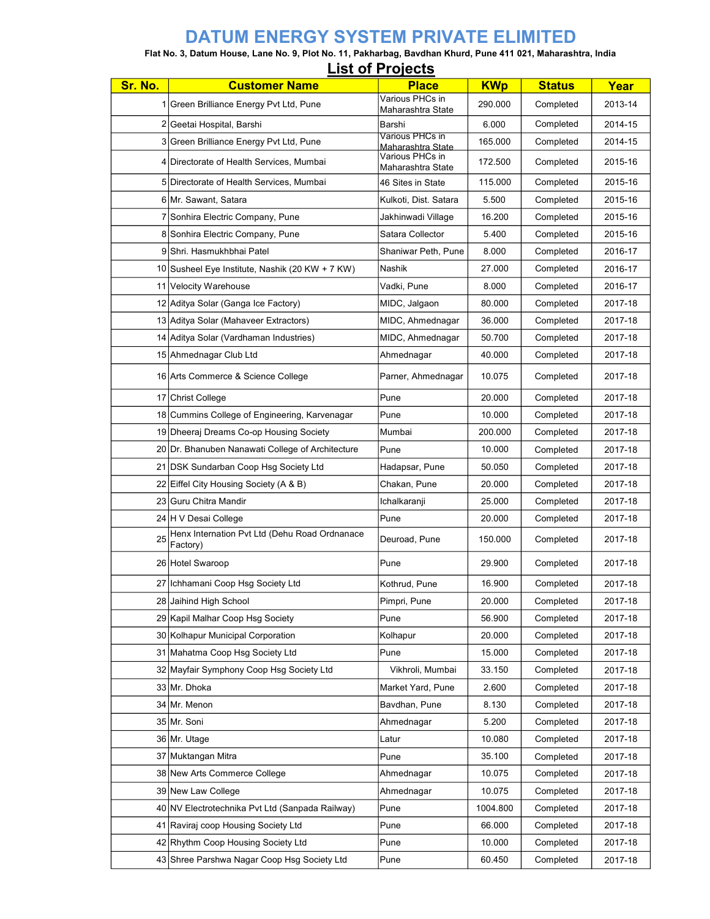## DATUM ENERGY SYSTEM PRIVATE ELIMITED

Flat No. 3, Datum House, Lane No. 9, Plot No. 11, Pakharbag, Bavdhan Khurd, Pune 411 021, Maharashtra, India List of Projects

|         |                                                           | <b>LIST OF PROJECTS</b>              |            |               |         |
|---------|-----------------------------------------------------------|--------------------------------------|------------|---------------|---------|
| Sr. No. | <b>Customer Name</b>                                      | <b>Place</b>                         | <b>KWp</b> | <b>Status</b> | Year    |
|         | 1 Green Brilliance Energy Pvt Ltd, Pune                   | Various PHCs in<br>Maharashtra State | 290.000    | Completed     | 2013-14 |
|         | 2 Geetai Hospital, Barshi                                 | Barshi                               | 6.000      | Completed     | 2014-15 |
|         | 3 Green Brilliance Energy Pvt Ltd, Pune                   | Various PHCs in<br>Maharashtra State | 165.000    | Completed     | 2014-15 |
|         | 4 Directorate of Health Services, Mumbai                  | Various PHCs in<br>Maharashtra State | 172.500    | Completed     | 2015-16 |
|         | 5 Directorate of Health Services, Mumbai                  | 46 Sites in State                    | 115.000    | Completed     | 2015-16 |
|         | 6 Mr. Sawant, Satara                                      | Kulkoti, Dist. Satara                | 5.500      | Completed     | 2015-16 |
|         | 7 Sonhira Electric Company, Pune                          | Jakhinwadi Village                   | 16.200     | Completed     | 2015-16 |
|         | 8 Sonhira Electric Company, Pune                          | Satara Collector                     | 5.400      | Completed     | 2015-16 |
|         | 9 Shri, Hasmukhbhai Patel                                 | Shaniwar Peth, Pune                  | 8.000      | Completed     | 2016-17 |
|         | 10 Susheel Eye Institute, Nashik (20 KW + 7 KW)           | <b>Nashik</b>                        | 27.000     | Completed     | 2016-17 |
|         | 11 Velocity Warehouse                                     | Vadki, Pune                          | 8.000      | Completed     | 2016-17 |
|         | 12 Aditya Solar (Ganga Ice Factory)                       | MIDC, Jalgaon                        | 80.000     | Completed     | 2017-18 |
|         | 13 Aditya Solar (Mahaveer Extractors)                     | MIDC, Ahmednagar                     | 36.000     | Completed     | 2017-18 |
|         | 14 Aditya Solar (Vardhaman Industries)                    | MIDC, Ahmednagar                     | 50.700     | Completed     | 2017-18 |
|         | 15 Ahmednagar Club Ltd                                    | Ahmednagar                           | 40.000     | Completed     | 2017-18 |
|         | 16 Arts Commerce & Science College                        | Parner, Ahmednagar                   | 10.075     | Completed     | 2017-18 |
|         | 17 Christ College                                         | Pune                                 | 20.000     | Completed     | 2017-18 |
|         | 18 Cummins College of Engineering, Karvenagar             | Pune                                 | 10.000     | Completed     | 2017-18 |
|         | 19 Dheeraj Dreams Co-op Housing Society                   | Mumbai                               | 200.000    | Completed     | 2017-18 |
|         | 20 Dr. Bhanuben Nanawati College of Architecture          | Pune                                 | 10.000     | Completed     | 2017-18 |
|         | 21 DSK Sundarban Coop Hsg Society Ltd                     | Hadapsar, Pune                       | 50.050     | Completed     | 2017-18 |
|         | 22 Eiffel City Housing Society (A & B)                    | Chakan, Pune                         | 20.000     | Completed     | 2017-18 |
|         | 23 Guru Chitra Mandir                                     | Ichalkaranji                         | 25.000     | Completed     | 2017-18 |
|         | 24 H V Desai College                                      | Pune                                 | 20.000     | Completed     | 2017-18 |
| 25      | Henx Internation Pvt Ltd (Dehu Road Ordnanace<br>Factory) | Deuroad, Pune                        | 150.000    | Completed     | 2017-18 |
|         | 26 Hotel Swaroop                                          | Pune                                 | 29.900     | Completed     | 2017-18 |
|         | 27 Ichhamani Coop Hsg Society Ltd                         | Kothrud, Pune                        | 16.900     | Completed     | 2017-18 |
|         | 28 Jaihind High School                                    | Pimpri, Pune                         | 20.000     | Completed     | 2017-18 |
|         | 29 Kapil Malhar Coop Hsq Society                          | Pune                                 | 56.900     | Completed     | 2017-18 |
|         | 30 Kolhapur Municipal Corporation                         | Kolhapur                             | 20.000     | Completed     | 2017-18 |
|         | 31 Mahatma Coop Hsg Society Ltd                           | Pune                                 | 15.000     | Completed     | 2017-18 |
|         | 32 Mayfair Symphony Coop Hsg Society Ltd                  | Vikhroli, Mumbai                     | 33.150     | Completed     | 2017-18 |
|         | 33 Mr. Dhoka                                              | Market Yard, Pune                    | 2.600      | Completed     | 2017-18 |
|         | 34 Mr. Menon                                              | Bavdhan, Pune                        | 8.130      | Completed     | 2017-18 |
|         | 35 Mr. Soni                                               | Ahmednagar                           | 5.200      | Completed     | 2017-18 |
|         | 36 Mr. Utage                                              | Latur                                | 10.080     | Completed     | 2017-18 |
|         | 37 Muktangan Mitra                                        | Pune                                 | 35.100     | Completed     | 2017-18 |
|         | 38 New Arts Commerce College                              | Ahmednagar                           | 10.075     | Completed     | 2017-18 |
|         | 39 New Law College                                        | Ahmednagar                           | 10.075     | Completed     | 2017-18 |
|         | 40 NV Electrotechnika Pvt Ltd (Sanpada Railway)           | Pune                                 | 1004.800   | Completed     | 2017-18 |
|         | 41 Raviraj coop Housing Society Ltd                       | Pune                                 | 66.000     | Completed     | 2017-18 |
|         | 42 Rhythm Coop Housing Society Ltd                        | Pune                                 | 10.000     | Completed     | 2017-18 |
|         | 43 Shree Parshwa Nagar Coop Hsg Society Ltd               | Pune                                 | 60.450     | Completed     | 2017-18 |
|         |                                                           |                                      |            |               |         |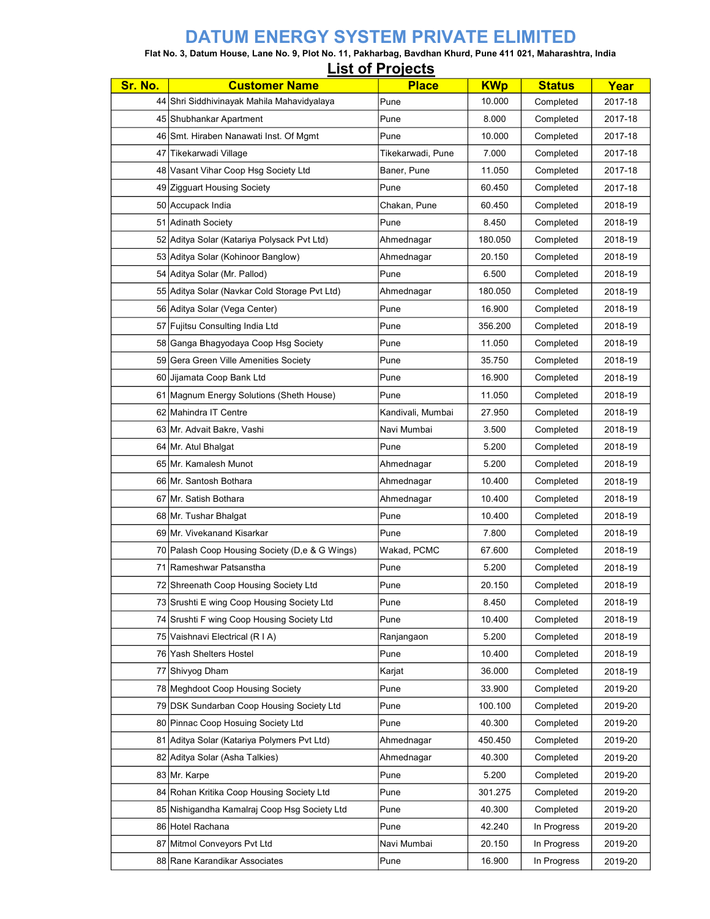## DATUM ENERGY SYSTEM PRIVATE ELIMITED

## Flat No. 3, Datum House, Lane No. 9, Plot No. 11, Pakharbag, Bavdhan Khurd, Pune 411 021, Maharashtra, India List of Projects

| LIST OF LIGIGATION |                                                |                   |            |               |         |  |  |
|--------------------|------------------------------------------------|-------------------|------------|---------------|---------|--|--|
| Sr. No.            | <b>Customer Name</b>                           | <b>Place</b>      | <b>KWp</b> | <b>Status</b> | Year    |  |  |
|                    | 44 Shri Siddhivinayak Mahila Mahavidyalaya     | Pune              | 10.000     | Completed     | 2017-18 |  |  |
|                    | 45 Shubhankar Apartment                        | Pune              | 8.000      | Completed     | 2017-18 |  |  |
|                    | 46 Smt. Hiraben Nanawati Inst. Of Mgmt         | Pune              | 10.000     | Completed     | 2017-18 |  |  |
|                    | 47 Tikekarwadi Village                         | Tikekarwadi, Pune | 7.000      | Completed     | 2017-18 |  |  |
|                    | 48 Vasant Vihar Coop Hsg Society Ltd           | Baner, Pune       | 11.050     | Completed     | 2017-18 |  |  |
|                    | 49 Zigguart Housing Society                    | Pune              | 60.450     | Completed     | 2017-18 |  |  |
|                    | 50 Accupack India                              | Chakan, Pune      | 60.450     | Completed     | 2018-19 |  |  |
|                    | 51 Adinath Society                             | Pune              | 8.450      | Completed     | 2018-19 |  |  |
|                    | 52 Aditya Solar (Katariya Polysack Pvt Ltd)    | Ahmednagar        | 180.050    | Completed     | 2018-19 |  |  |
|                    | 53 Aditya Solar (Kohinoor Banglow)             | Ahmednagar        | 20.150     | Completed     | 2018-19 |  |  |
|                    | 54 Aditya Solar (Mr. Pallod)                   | Pune              | 6.500      | Completed     | 2018-19 |  |  |
|                    | 55 Aditya Solar (Navkar Cold Storage Pvt Ltd)  | Ahmednagar        | 180.050    | Completed     | 2018-19 |  |  |
|                    | 56 Aditya Solar (Vega Center)                  | Pune              | 16.900     | Completed     | 2018-19 |  |  |
|                    | 57 Fujitsu Consulting India Ltd                | Pune              | 356.200    | Completed     | 2018-19 |  |  |
|                    | 58 Ganga Bhagyodaya Coop Hsg Society           | Pune              | 11.050     | Completed     | 2018-19 |  |  |
|                    | 59 Gera Green Ville Amenities Society          | Pune              | 35.750     | Completed     | 2018-19 |  |  |
|                    | 60 Jijamata Coop Bank Ltd                      | Pune              | 16.900     | Completed     | 2018-19 |  |  |
|                    | 61   Magnum Energy Solutions (Sheth House)     | Pune              | 11.050     | Completed     | 2018-19 |  |  |
|                    | 62 Mahindra IT Centre                          | Kandivali, Mumbai | 27.950     | Completed     | 2018-19 |  |  |
|                    | 63 Mr. Advait Bakre, Vashi                     | Navi Mumbai       | 3.500      | Completed     | 2018-19 |  |  |
|                    | 64 Mr. Atul Bhalgat                            | Pune              | 5.200      | Completed     | 2018-19 |  |  |
|                    | 65 Mr. Kamalesh Munot                          | Ahmednagar        | 5.200      | Completed     | 2018-19 |  |  |
|                    | 66 Mr. Santosh Bothara                         | Ahmednagar        | 10.400     | Completed     | 2018-19 |  |  |
|                    | 67 Mr. Satish Bothara                          | Ahmednagar        | 10.400     | Completed     | 2018-19 |  |  |
|                    | 68 Mr. Tushar Bhalgat                          | Pune              | 10.400     | Completed     | 2018-19 |  |  |
|                    | 69 Mr. Vivekanand Kisarkar                     | Pune              | 7.800      | Completed     | 2018-19 |  |  |
|                    | 70 Palash Coop Housing Society (D,e & G Wings) | Wakad, PCMC       | 67.600     | Completed     | 2018-19 |  |  |
|                    | 71 Rameshwar Patsanstha                        | Pune              | 5.200      | Completed     | 2018-19 |  |  |
|                    | 72 Shreenath Coop Housing Society Ltd          | Pune              | 20.150     | Completed     | 2018-19 |  |  |
|                    | 73 Srushti E wing Coop Housing Society Ltd     | Pune              | 8.450      | Completed     | 2018-19 |  |  |
|                    | 74 Srushti F wing Coop Housing Society Ltd     | Pune              | 10.400     | Completed     | 2018-19 |  |  |
|                    | 75 Vaishnavi Electrical (R I A)                | Ranjangaon        | 5.200      | Completed     | 2018-19 |  |  |
|                    | 76 Yash Shelters Hostel                        | Pune              | 10.400     | Completed     | 2018-19 |  |  |
|                    | 77 Shivyog Dham                                | Karjat            | 36.000     | Completed     | 2018-19 |  |  |
|                    | 78 Meghdoot Coop Housing Society               | Pune              | 33.900     | Completed     | 2019-20 |  |  |
|                    | 79 DSK Sundarban Coop Housing Society Ltd      | Pune              | 100.100    | Completed     | 2019-20 |  |  |
|                    | 80 Pinnac Coop Hosuing Society Ltd             | Pune              | 40.300     | Completed     | 2019-20 |  |  |
|                    | 81 Aditya Solar (Katariya Polymers Pvt Ltd)    | Ahmednagar        | 450.450    | Completed     | 2019-20 |  |  |
|                    | 82 Aditya Solar (Asha Talkies)                 | Ahmednagar        | 40.300     | Completed     | 2019-20 |  |  |
|                    | 83 Mr. Karpe                                   | Pune              | 5.200      | Completed     | 2019-20 |  |  |
|                    | 84 Rohan Kritika Coop Housing Society Ltd      | Pune              | 301.275    | Completed     | 2019-20 |  |  |
|                    | 85 Nishigandha Kamalraj Coop Hsg Society Ltd   | Pune              | 40.300     | Completed     | 2019-20 |  |  |
|                    | 86 Hotel Rachana                               | Pune              | 42.240     | In Progress   | 2019-20 |  |  |
|                    | 87 Mitmol Conveyors Pvt Ltd                    | Navi Mumbai       | 20.150     | In Progress   | 2019-20 |  |  |
|                    | 88 Rane Karandikar Associates                  | Pune              | 16.900     | In Progress   | 2019-20 |  |  |